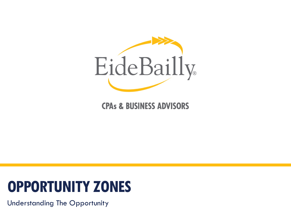

#### **CPAs & BUSINESS ADVISORS**

# **OPPORTUNITY ZONES**

Understanding The Opportunity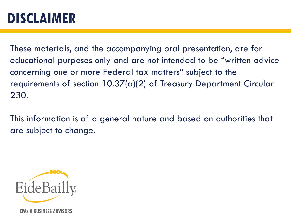### **DISCLAIMER**

These materials, and the accompanying oral presentation, are for educational purposes only and are not intended to be "written advice concerning one or more Federal tax matters" subject to the requirements of section 10.37(a)(2) of Treasury Department Circular 230.

This information is of a general nature and based on authorities that are subject to change.



**CPAs & BUSINESS ADVISORS**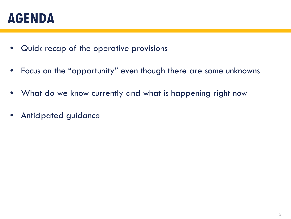#### **AGENDA**

- Quick recap of the operative provisions
- Focus on the "opportunity" even though there are some unknowns
- What do we know currently and what is happening right now
- Anticipated guidance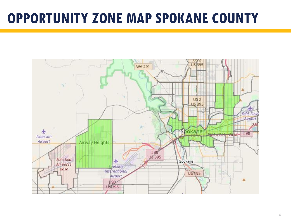#### **OPPORTUNITY ZONE MAP SPOKANE COUNTY**

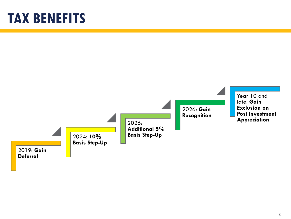### **TAX BENEFITS**

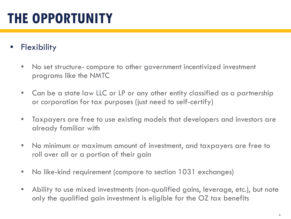## **THE OPPORTUNITY**

#### **Flexibility**

- No set structure- compare to other government incentivized investment programs like the NMTC
- Can be a state law LLC or LP or any other entity classified as a partnership or corporation for tax purposes (just need to self-certify)
- Taxpayers are free to use existing models that developers and investors are already familiar with
- No minimum or maximum amount of investment, and taxpayers are free to roll over all or a portion of their gain
- No like-kind requirement (compare to section 1031 exchanges)
- Ability to use mixed investments (non-qualified gains, leverage, etc.), but note only the qualified gain investment is eligible for the OZ tax benefits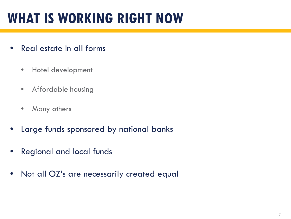## **WHAT IS WORKING RIGHT NOW**

- Real estate in all forms
	- Hotel development
	- Affordable housing
	- Many others
- Large funds sponsored by national banks
- Regional and local funds
- Not all OZ's are necessarily created equal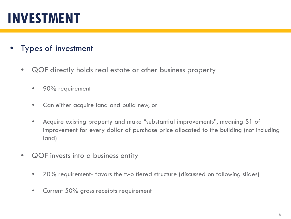## **INVESTMENT**

- Types of investment
	- QOF directly holds real estate or other business property
		- 90% requirement
		- Can either acquire land and build new, or
		- Acquire existing property and make "substantial improvements", meaning \$1 of improvement for every dollar of purchase price allocated to the building (not including land)
	- QOF invests into a business entity
		- 70% requirement- favors the two tiered structure (discussed on following slides)
		- Current 50% gross receipts requirement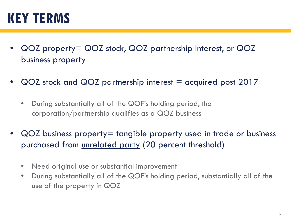### **KEY TERMS**

- QOZ property= QOZ stock, QOZ partnership interest, or QOZ business property
- $\overline{QOZ}$  stock and  $\overline{QOZ}$  partnership interest  $=$  acquired post 2017
	- During substantially all of the QOF's holding period, the corporation/partnership qualifies as a QOZ business
- QOZ business property= tangible property used in trade or business purchased from unrelated party (20 percent threshold)
	- Need original use or substantial improvement
	- During substantially all of the QOF's holding period, substantially all of the use of the property in QOZ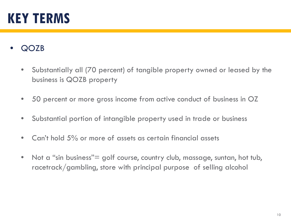### **KEY TERMS**

- QOZB
	- Substantially all (70 percent) of tangible property owned or leased by the business is QOZB property
	- 50 percent or more gross income from active conduct of business in OZ
	- Substantial portion of intangible property used in trade or business
	- Can't hold 5% or more of assets as certain financial assets
	- Not a "sin business" = golf course, country club, massage, suntan, hot tub, racetrack/gambling, store with principal purpose of selling alcohol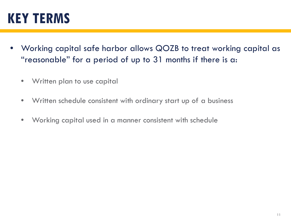### **KEY TERMS**

- Working capital safe harbor allows QOZB to treat working capital as "reasonable" for a period of up to 31 months if there is a:
	- Written plan to use capital
	- Written schedule consistent with ordinary start up of a business
	- Working capital used in a manner consistent with schedule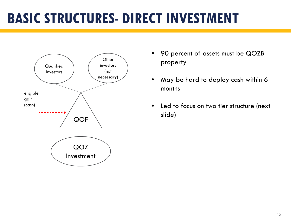## **BASIC STRUCTURES- DIRECT INVESTMENT**



- 90 percent of assets must be QOZB property
- May be hard to deploy cash within 6 months
- Led to focus on two tier structure (next slide)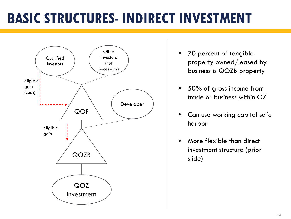## **BASIC STRUCTURES- INDIRECT INVESTMENT**



- 70 percent of tangible property owned/leased by business is QOZB property
- 50% of gross income from trade or business within OZ
- Can use working capital safe harbor
- More flexible than direct investment structure (prior slide)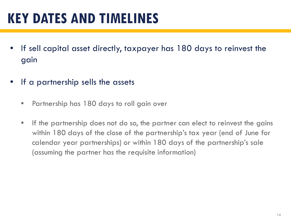## **KEY DATES AND TIMELINES**

- If sell capital asset directly, taxpayer has 180 days to reinvest the gain
- If a partnership sells the assets
	- Partnership has 180 days to roll gain over
	- If the partnership does not do so, the partner can elect to reinvest the gains within 180 days of the close of the partnership's tax year (end of June for calendar year partnerships) or within 180 days of the partnership's sale (assuming the partner has the requisite information)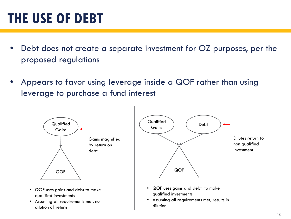## **THE USE OF DEBT**

- Debt does not create a separate investment for OZ purposes, per the proposed regulations
- Appears to favor using leverage inside a QOF rather than using leverage to purchase a fund interest

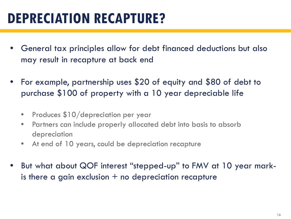## **DEPRECIATION RECAPTURE?**

- General tax principles allow for debt financed deductions but also may result in recapture at back end
- For example, partnership uses \$20 of equity and \$80 of debt to purchase \$100 of property with a 10 year depreciable life
	- Produces \$10/depreciation per year
	- Partners can include properly allocated debt into basis to absorb depreciation
	- At end of 10 years, could be depreciation recapture
- But what about QOF interest "stepped-up" to FMV at 10 year markis there a gain exclusion  $+$  no depreciation recapture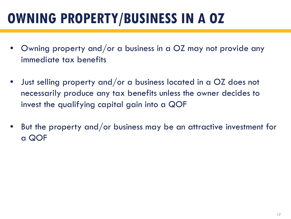## **OWNING PROPERTY/BUSINESS IN A OZ**

- Owning property and/or a business in a OZ may not provide any immediate tax benefits
- Just selling property and/or a business located in a OZ does not necessarily produce any tax benefits unless the owner decides to invest the qualifying capital gain into a QOF
- But the property and/or business may be an attractive investment for a QOF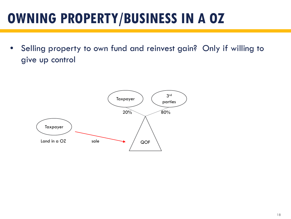## **OWNING PROPERTY/BUSINESS IN A OZ**

• Selling property to own fund and reinvest gain? Only if willing to give up control

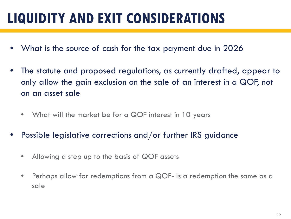## **LIQUIDITY AND EXIT CONSIDERATIONS**

- What is the source of cash for the tax payment due in 2026
- The statute and proposed regulations, as currently drafted, appear to only allow the gain exclusion on the sale of an interest in a QOF, not on an asset sale
	- What will the market be for a QOF interest in 10 years
- Possible legislative corrections and/or further IRS guidance
	- Allowing a step up to the basis of QOF assets
	- Perhaps allow for redemptions from a QOF- is a redemption the same as a sale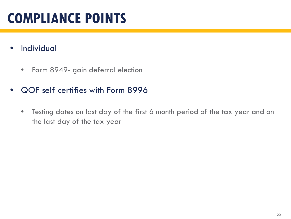- Individual
	- Form 8949- gain deferral election
- QOF self certifies with Form 8996
	- Testing dates on last day of the first 6 month period of the tax year and on the last day of the tax year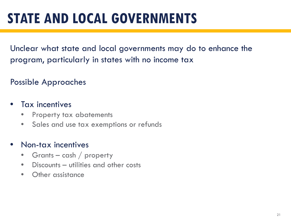## **STATE AND LOCAL GOVERNMENTS**

Unclear what state and local governments may do to enhance the program, particularly in states with no income tax

#### Possible Approaches

#### • Tax incentives

- Property tax abatements
- Sales and use tax exemptions or refunds

#### • Non-tax incentives

- Grants  $-$  cash  $/$  property
- Discounts utilities and other costs
- Other assistance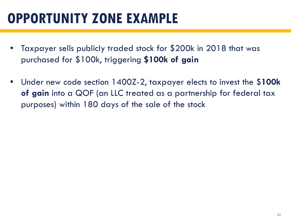- Taxpayer sells publicly traded stock for \$200k in 2018 that was purchased for \$100k, triggering **\$100k of gain**
- Under new code section 1400Z-2, taxpayer elects to invest the \$**100k of gain** into a QOF (an LLC treated as a partnership for federal tax purposes) within 180 days of the sale of the stock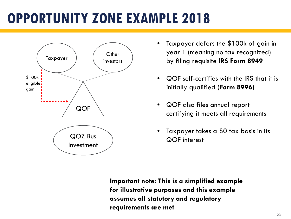

- Taxpayer defers the \$100k of gain in year 1 (meaning no tax recognized) by filing requisite **IRS Form 8949**
- QOF self-certifies with the IRS that it is initially qualified **(Form 8996)**
- QOF also files annual report certifying it meets all requirements
- Taxpayer takes a \$0 tax basis in its QOF interest

**Important note: This is a simplified example for illustrative purposes and this example assumes all statutory and regulatory requirements are met**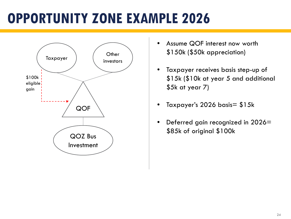

- Assume QOF interest now worth \$150k (\$50k appreciation)
- Taxpayer receives basis step-up of \$15k (\$10k at year 5 and additional \$5k at year 7)
- Taxpayer's 2026 basis= \$15k
- Deferred gain recognized in 2026= \$85k of original \$100k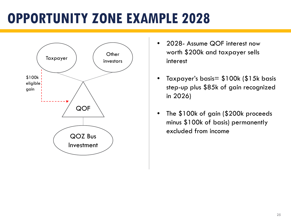

- 2028- Assume QOF interest now worth \$200k and taxpayer sells interest
- Taxpayer's basis= \$100k (\$15k basis step-up plus \$85k of gain recognized in 2026)
- The \$100k of gain (\$200k proceeds minus \$100k of basis) permanently excluded from income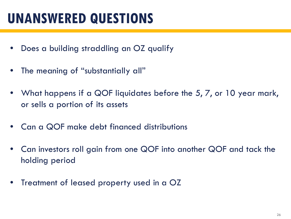## **UNANSWERED QUESTIONS**

- Does a building straddling an OZ qualify
- The meaning of "substantially all"
- What happens if a QOF liquidates before the 5, 7, or 10 year mark, or sells a portion of its assets
- Can a QOF make debt financed distributions
- Can investors roll gain from one QOF into another QOF and tack the holding period
- Treatment of leased property used in a OZ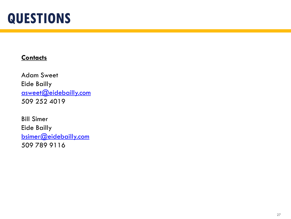#### **QUESTIONS**

#### **Contacts**

Adam Sweet Eide Bailly [asweet@eidebailly.com](mailto:asweet@eidebailly.com) 509 252 4019

Bill Simer Eide Bailly [bsimer@eidebailly.com](mailto:bsimer@eidebailly.com) 509 789 9116